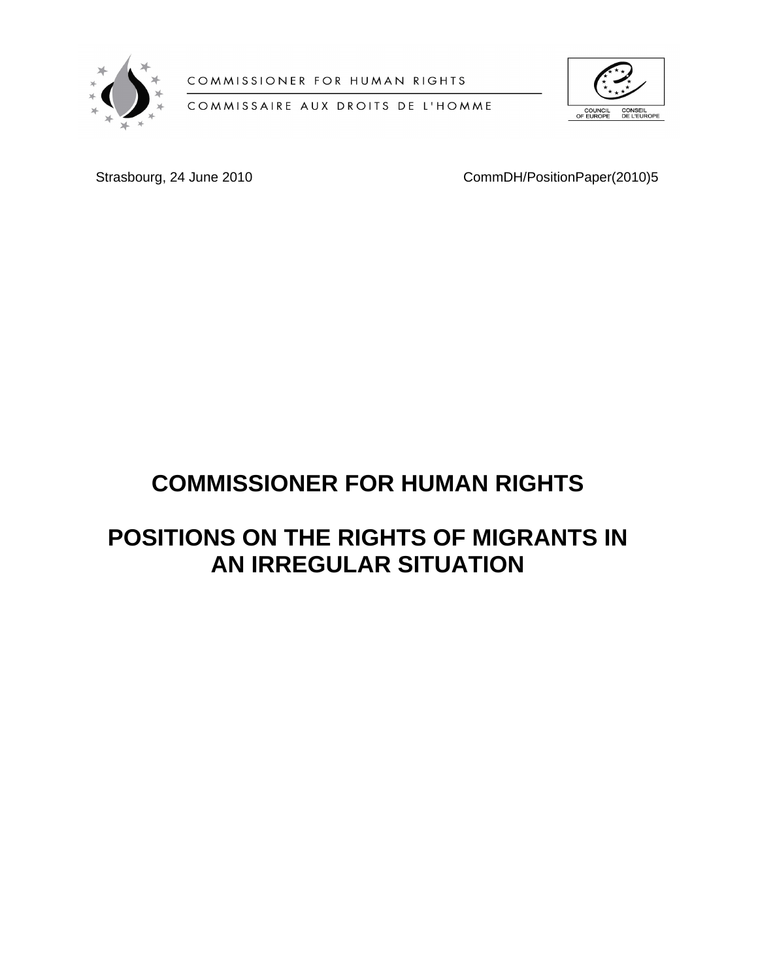

COMMISSIONER FOR HUMAN RIGHTS

COMMISSAIRE AUX DROITS DE L'HOMME



Strasbourg, 24 June 2010 CommDH/PositionPaper(2010)5

# **COMMISSIONER FOR HUMAN RIGHTS**

# **POSITIONS ON THE RIGHTS OF MIGRANTS IN AN IRREGULAR SITUATION**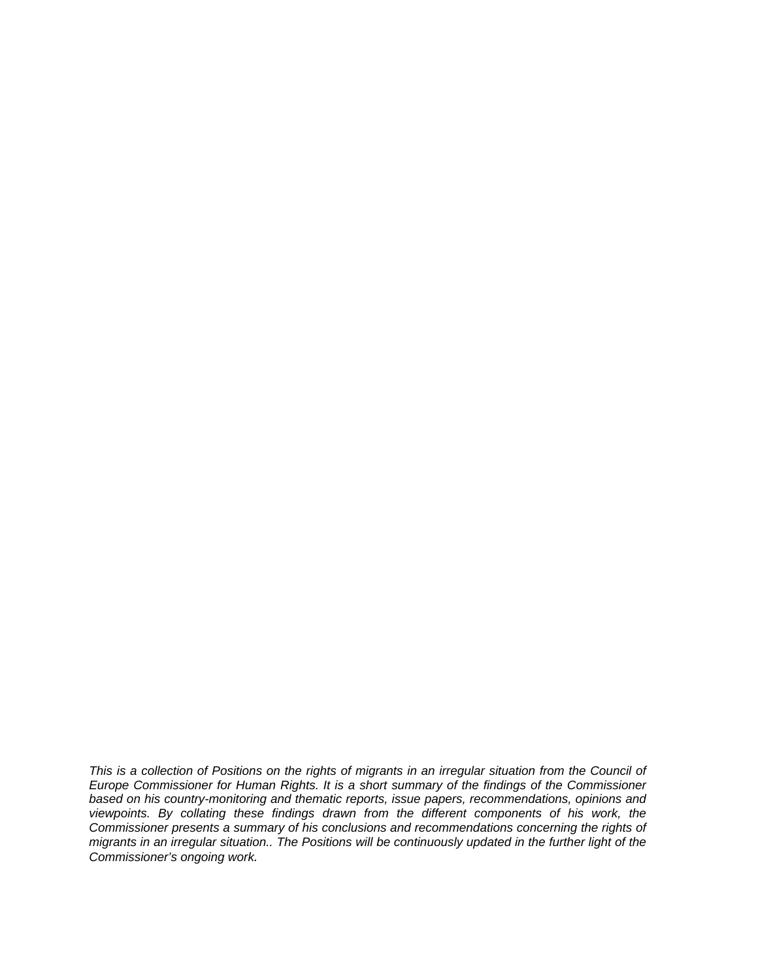*This is a collection of Positions on the rights of migrants in an irregular situation from the Council of Europe Commissioner for Human Rights. It is a short summary of the findings of the Commissioner based on his country-monitoring and thematic reports, issue papers, recommendations, opinions and viewpoints. By collating these findings drawn from the different components of his work, the Commissioner presents a summary of his conclusions and recommendations concerning the rights of migrants in an irregular situation.. The Positions will be continuously updated in the further light of the Commissioner's ongoing work.*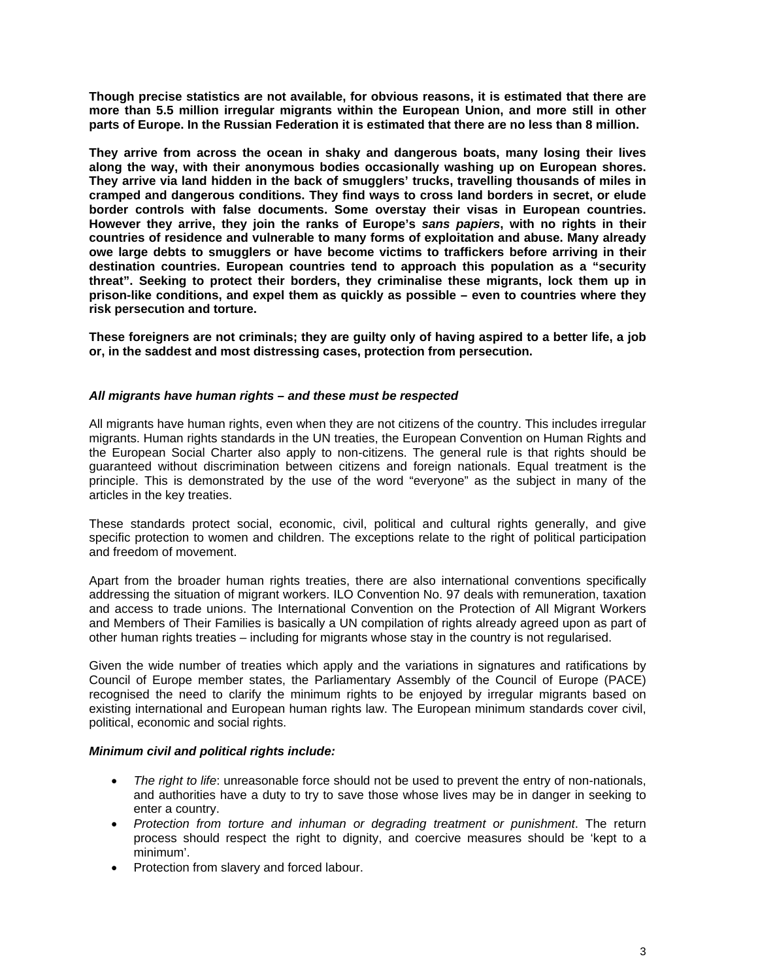**Though precise statistics are not available, for obvious reasons, it is estimated that there are more than 5.5 million irregular migrants within the European Union, and more still in other parts of Europe. In the Russian Federation it is estimated that there are no less than 8 million.** 

**They arrive from across the ocean in shaky and dangerous boats, many losing their lives along the way, with their anonymous bodies occasionally washing up on European shores. They arrive via land hidden in the back of smugglers' trucks, travelling thousands of miles in cramped and dangerous conditions. They find ways to cross land borders in secret, or elude border controls with false documents. Some overstay their visas in European countries. However they arrive, they join the ranks of Europe's** *sans papiers***, with no rights in their countries of residence and vulnerable to many forms of exploitation and abuse. Many already owe large debts to smugglers or have become victims to traffickers before arriving in their destination countries. European countries tend to approach this population as a "security threat". Seeking to protect their borders, they criminalise these migrants, lock them up in prison-like conditions, and expel them as quickly as possible – even to countries where they risk persecution and torture.** 

**These foreigners are not criminals; they are guilty only of having aspired to a better life, a job or, in the saddest and most distressing cases, protection from persecution.**

#### *All migrants have human rights – and these must be respected*

All migrants have human rights, even when they are not citizens of the country. This includes irregular migrants. Human rights standards in the UN treaties, the European Convention on Human Rights and the European Social Charter also apply to non-citizens. The general rule is that rights should be guaranteed without discrimination between citizens and foreign nationals. Equal treatment is the principle. This is demonstrated by the use of the word "everyone" as the subject in many of the articles in the key treaties.

These standards protect social, economic, civil, political and cultural rights generally, and give specific protection to women and children. The exceptions relate to the right of political participation and freedom of movement.

Apart from the broader human rights treaties, there are also international conventions specifically addressing the situation of migrant workers. ILO Convention No. 97 deals with remuneration, taxation and access to trade unions. The International Convention on the Protection of All Migrant Workers and Members of Their Families is basically a UN compilation of rights already agreed upon as part of other human rights treaties – including for migrants whose stay in the country is not regularised.

Given the wide number of treaties which apply and the variations in signatures and ratifications by Council of Europe member states, the Parliamentary Assembly of the Council of Europe (PACE) recognised the need to clarify the minimum rights to be enjoyed by irregular migrants based on existing international and European human rights law. The European minimum standards cover civil, political, economic and social rights.

#### *Minimum civil and political rights include:*

- *The right to life*: unreasonable force should not be used to prevent the entry of non-nationals, and authorities have a duty to try to save those whose lives may be in danger in seeking to enter a country.
- *Protection from torture and inhuman or degrading treatment or punishment*. The return process should respect the right to dignity, and coercive measures should be 'kept to a minimum'.
- Protection from slavery and forced labour.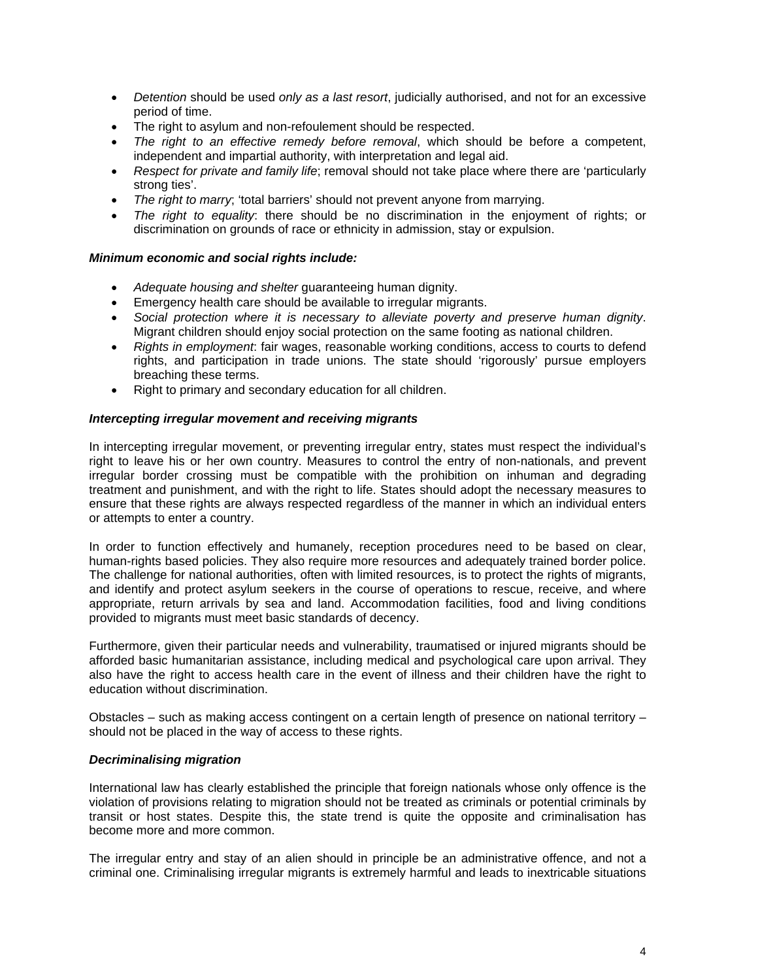- *Detention* should be used *only as a last resort*, judicially authorised, and not for an excessive period of time.
- The right to asylum and non-refoulement should be respected.
- *The right to an effective remedy before removal*, which should be before a competent, independent and impartial authority, with interpretation and legal aid.
- *Respect for private and family life*; removal should not take place where there are 'particularly strong ties'.
- *The right to marry*; 'total barriers' should not prevent anyone from marrying.
- *The right to equality*: there should be no discrimination in the enjoyment of rights; or discrimination on grounds of race or ethnicity in admission, stay or expulsion.

### *Minimum economic and social rights include:*

- *Adequate housing and shelter* guaranteeing human dignity.
- Emergency health care should be available to irregular migrants.
- *Social protection where it is necessary to alleviate poverty and preserve human dignity*. Migrant children should enjoy social protection on the same footing as national children.
- *Rights in employment*: fair wages, reasonable working conditions, access to courts to defend rights, and participation in trade unions. The state should 'rigorously' pursue employers breaching these terms.
- Right to primary and secondary education for all children.

#### *Intercepting irregular movement and receiving migrants*

In intercepting irregular movement, or preventing irregular entry, states must respect the individual's right to leave his or her own country. Measures to control the entry of non-nationals, and prevent irregular border crossing must be compatible with the prohibition on inhuman and degrading treatment and punishment, and with the right to life. States should adopt the necessary measures to ensure that these rights are always respected regardless of the manner in which an individual enters or attempts to enter a country.

In order to function effectively and humanely, reception procedures need to be based on clear, human-rights based policies. They also require more resources and adequately trained border police. The challenge for national authorities, often with limited resources, is to protect the rights of migrants, and identify and protect asylum seekers in the course of operations to rescue, receive, and where appropriate, return arrivals by sea and land. Accommodation facilities, food and living conditions provided to migrants must meet basic standards of decency.

Furthermore, given their particular needs and vulnerability, traumatised or injured migrants should be afforded basic humanitarian assistance, including medical and psychological care upon arrival. They also have the right to access health care in the event of illness and their children have the right to education without discrimination.

Obstacles – such as making access contingent on a certain length of presence on national territory – should not be placed in the way of access to these rights.

#### *Decriminalising migration*

International law has clearly established the principle that foreign nationals whose only offence is the violation of provisions relating to migration should not be treated as criminals or potential criminals by transit or host states. Despite this, the state trend is quite the opposite and criminalisation has become more and more common.

The irregular entry and stay of an alien should in principle be an administrative offence, and not a criminal one. Criminalising irregular migrants is extremely harmful and leads to inextricable situations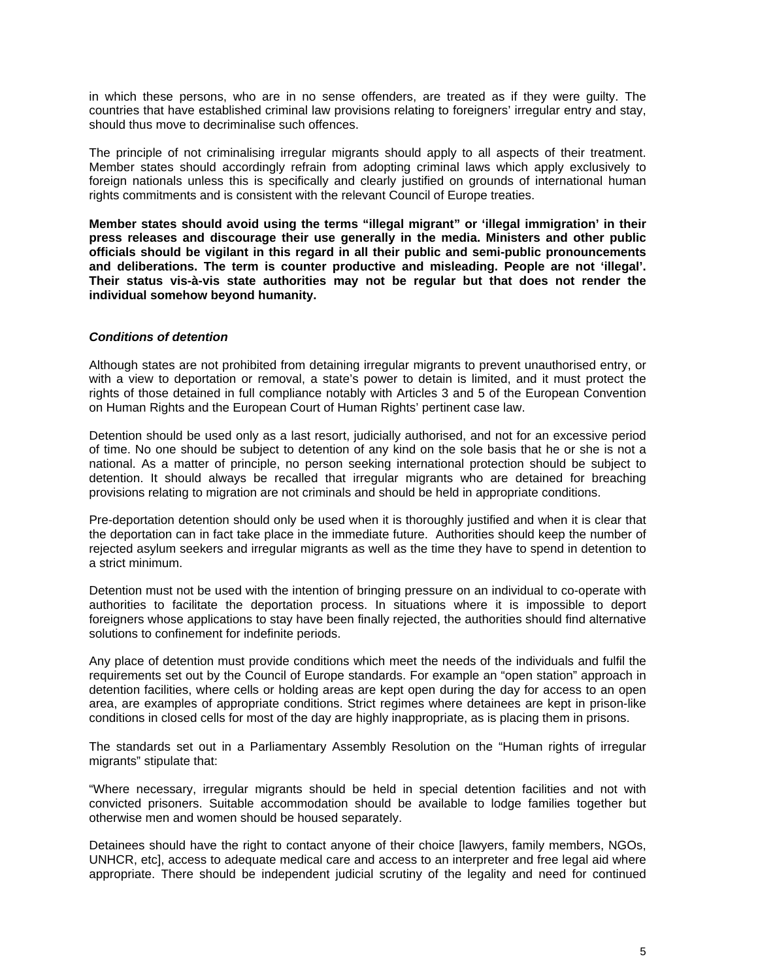in which these persons, who are in no sense offenders, are treated as if they were guilty. The countries that have established criminal law provisions relating to foreigners' irregular entry and stay, should thus move to decriminalise such offences.

The principle of not criminalising irregular migrants should apply to all aspects of their treatment. Member states should accordingly refrain from adopting criminal laws which apply exclusively to foreign nationals unless this is specifically and clearly justified on grounds of international human rights commitments and is consistent with the relevant Council of Europe treaties.

**Member states should avoid using the terms "illegal migrant" or 'illegal immigration' in their press releases and discourage their use generally in the media. Ministers and other public officials should be vigilant in this regard in all their public and semi-public pronouncements and deliberations. The term is counter productive and misleading. People are not 'illegal'. Their status vis-à-vis state authorities may not be regular but that does not render the individual somehow beyond humanity.**

#### *Conditions of detention*

Although states are not prohibited from detaining irregular migrants to prevent unauthorised entry, or with a view to deportation or removal, a state's power to detain is limited, and it must protect the rights of those detained in full compliance notably with Articles 3 and 5 of the European Convention on Human Rights and the European Court of Human Rights' pertinent case law.

Detention should be used only as a last resort, judicially authorised, and not for an excessive period of time. No one should be subject to detention of any kind on the sole basis that he or she is not a national. As a matter of principle, no person seeking international protection should be subject to detention. It should always be recalled that irregular migrants who are detained for breaching provisions relating to migration are not criminals and should be held in appropriate conditions.

Pre-deportation detention should only be used when it is thoroughly justified and when it is clear that the deportation can in fact take place in the immediate future. Authorities should keep the number of rejected asylum seekers and irregular migrants as well as the time they have to spend in detention to a strict minimum.

Detention must not be used with the intention of bringing pressure on an individual to co-operate with authorities to facilitate the deportation process. In situations where it is impossible to deport foreigners whose applications to stay have been finally rejected, the authorities should find alternative solutions to confinement for indefinite periods.

Any place of detention must provide conditions which meet the needs of the individuals and fulfil the requirements set out by the Council of Europe standards. For example an "open station" approach in detention facilities, where cells or holding areas are kept open during the day for access to an open area, are examples of appropriate conditions. Strict regimes where detainees are kept in prison-like conditions in closed cells for most of the day are highly inappropriate, as is placing them in prisons.

The standards set out in a Parliamentary Assembly Resolution on the "Human rights of irregular migrants" stipulate that:

"Where necessary, irregular migrants should be held in special detention facilities and not with convicted prisoners. Suitable accommodation should be available to lodge families together but otherwise men and women should be housed separately.

Detainees should have the right to contact anyone of their choice Ilawyers, family members, NGOs, UNHCR, etc], access to adequate medical care and access to an interpreter and free legal aid where appropriate. There should be independent judicial scrutiny of the legality and need for continued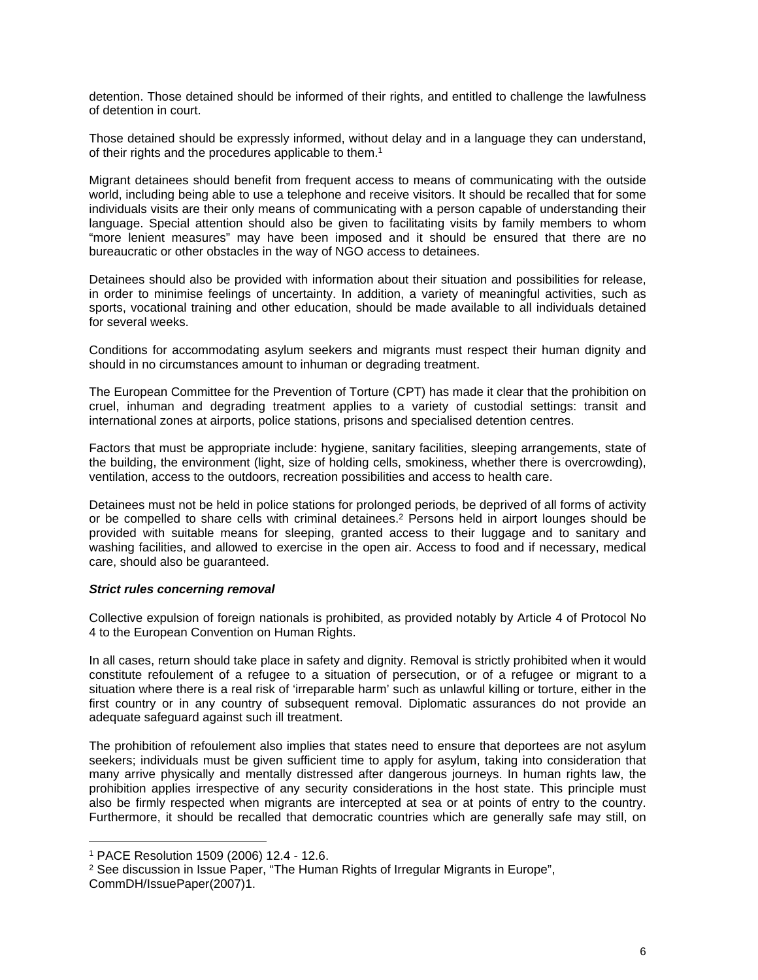detention. Those detained should be informed of their rights, and entitled to challenge the lawfulness of detention in court.

Those detained should be expressly informed, without delay and in a language they can understand, of their rights and the procedures applicable to them.<sup>1</sup>

Migrant detainees should benefit from frequent access to means of communicating with the outside world, including being able to use a telephone and receive visitors. It should be recalled that for some individuals visits are their only means of communicating with a person capable of understanding their language. Special attention should also be given to facilitating visits by family members to whom "more lenient measures" may have been imposed and it should be ensured that there are no bureaucratic or other obstacles in the way of NGO access to detainees.

Detainees should also be provided with information about their situation and possibilities for release, in order to minimise feelings of uncertainty. In addition, a variety of meaningful activities, such as sports, vocational training and other education, should be made available to all individuals detained for several weeks.

Conditions for accommodating asylum seekers and migrants must respect their human dignity and should in no circumstances amount to inhuman or degrading treatment.

The European Committee for the Prevention of Torture (CPT) has made it clear that the prohibition on cruel, inhuman and degrading treatment applies to a variety of custodial settings: transit and international zones at airports, police stations, prisons and specialised detention centres.

Factors that must be appropriate include: hygiene, sanitary facilities, sleeping arrangements, state of the building, the environment (light, size of holding cells, smokiness, whether there is overcrowding), ventilation, access to the outdoors, recreation possibilities and access to health care.

Detainees must not be held in police stations for prolonged periods, be deprived of all forms of activity or be compelled to share cells with criminal detainees.<sup>2</sup> Persons held in airport lounges should be provided with suitable means for sleeping, granted access to their luggage and to sanitary and washing facilities, and allowed to exercise in the open air. Access to food and if necessary, medical care, should also be guaranteed.

#### *Strict rules concerning removal*

Collective expulsion of foreign nationals is prohibited, as provided notably by Article 4 of Protocol No 4 to the European Convention on Human Rights.

In all cases, return should take place in safety and dignity. Removal is strictly prohibited when it would constitute refoulement of a refugee to a situation of persecution, or of a refugee or migrant to a situation where there is a real risk of 'irreparable harm' such as unlawful killing or torture, either in the first country or in any country of subsequent removal. Diplomatic assurances do not provide an adequate safeguard against such ill treatment.

The prohibition of refoulement also implies that states need to ensure that deportees are not asylum seekers; individuals must be given sufficient time to apply for asylum, taking into consideration that many arrive physically and mentally distressed after dangerous journeys. In human rights law, the prohibition applies irrespective of any security considerations in the host state. This principle must also be firmly respected when migrants are intercepted at sea or at points of entry to the country. Furthermore, it should be recalled that democratic countries which are generally safe may still, on

<sup>2</sup> See discussion in Issue Paper, "The Human Rights of Irregular Migrants in Europe", CommDH/IssuePaper(2007)1.

<sup>1</sup> PACE Resolution 1509 (2006) 12.4 - 12.6.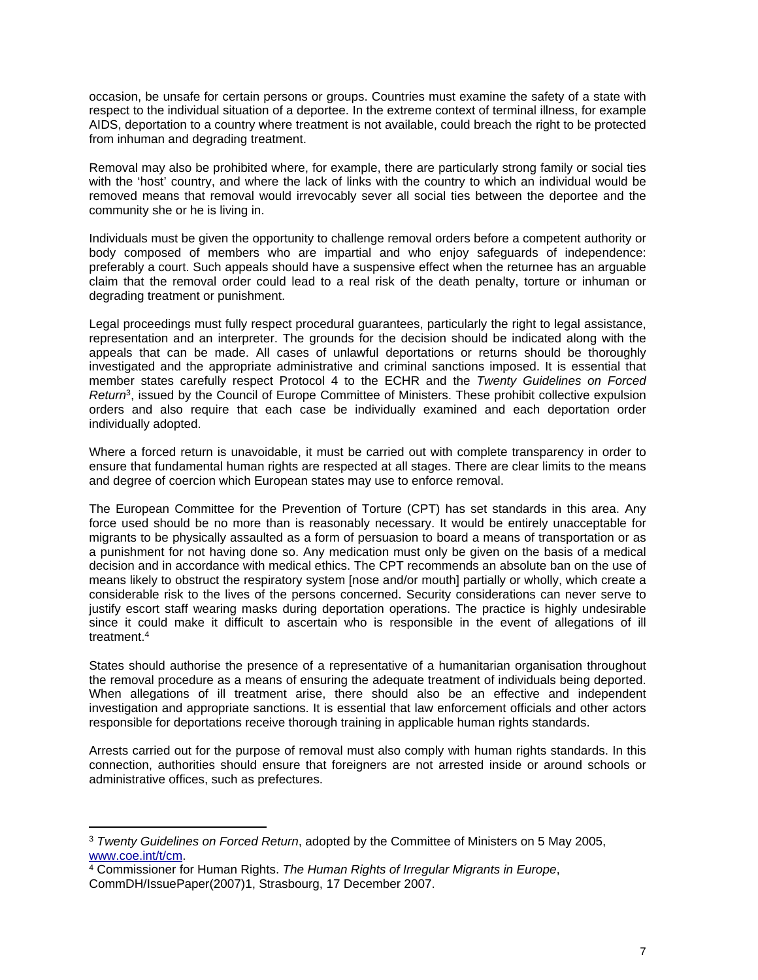occasion, be unsafe for certain persons or groups. Countries must examine the safety of a state with respect to the individual situation of a deportee. In the extreme context of terminal illness, for example AIDS, deportation to a country where treatment is not available, could breach the right to be protected from inhuman and degrading treatment.

Removal may also be prohibited where, for example, there are particularly strong family or social ties with the 'host' country, and where the lack of links with the country to which an individual would be removed means that removal would irrevocably sever all social ties between the deportee and the community she or he is living in.

Individuals must be given the opportunity to challenge removal orders before a competent authority or body composed of members who are impartial and who enjoy safeguards of independence: preferably a court. Such appeals should have a suspensive effect when the returnee has an arguable claim that the removal order could lead to a real risk of the death penalty, torture or inhuman or degrading treatment or punishment.

Legal proceedings must fully respect procedural guarantees, particularly the right to legal assistance, representation and an interpreter. The grounds for the decision should be indicated along with the appeals that can be made. All cases of unlawful deportations or returns should be thoroughly investigated and the appropriate administrative and criminal sanctions imposed. It is essential that member states carefully respect Protocol 4 to the ECHR and the *Twenty Guidelines on Forced Return*<sup>3</sup> , issued by the Council of Europe Committee of Ministers. These prohibit collective expulsion orders and also require that each case be individually examined and each deportation order individually adopted.

Where a forced return is unavoidable, it must be carried out with complete transparency in order to ensure that fundamental human rights are respected at all stages. There are clear limits to the means and degree of coercion which European states may use to enforce removal.

The European Committee for the Prevention of Torture (CPT) has set standards in this area. Any force used should be no more than is reasonably necessary. It would be entirely unacceptable for migrants to be physically assaulted as a form of persuasion to board a means of transportation or as a punishment for not having done so. Any medication must only be given on the basis of a medical decision and in accordance with medical ethics. The CPT recommends an absolute ban on the use of means likely to obstruct the respiratory system [nose and/or mouth] partially or wholly, which create a considerable risk to the lives of the persons concerned. Security considerations can never serve to justify escort staff wearing masks during deportation operations. The practice is highly undesirable since it could make it difficult to ascertain who is responsible in the event of allegations of ill treatment.<sup>4</sup>

States should authorise the presence of a representative of a humanitarian organisation throughout the removal procedure as a means of ensuring the adequate treatment of individuals being deported. When allegations of ill treatment arise, there should also be an effective and independent investigation and appropriate sanctions. It is essential that law enforcement officials and other actors responsible for deportations receive thorough training in applicable human rights standards.

Arrests carried out for the purpose of removal must also comply with human rights standards. In this connection, authorities should ensure that foreigners are not arrested inside or around schools or administrative offices, such as prefectures.

<sup>3</sup> *Twenty Guidelines on Forced Return*, adopted by the Committee of Ministers on 5 May 2005, [www.coe.int/t/cm.](http://www.coe.int/t/cm)

<sup>4</sup> Commissioner for Human Rights. *The Human Rights of Irregular Migrants in Europe*, CommDH/IssuePaper(2007)1, Strasbourg, 17 December 2007.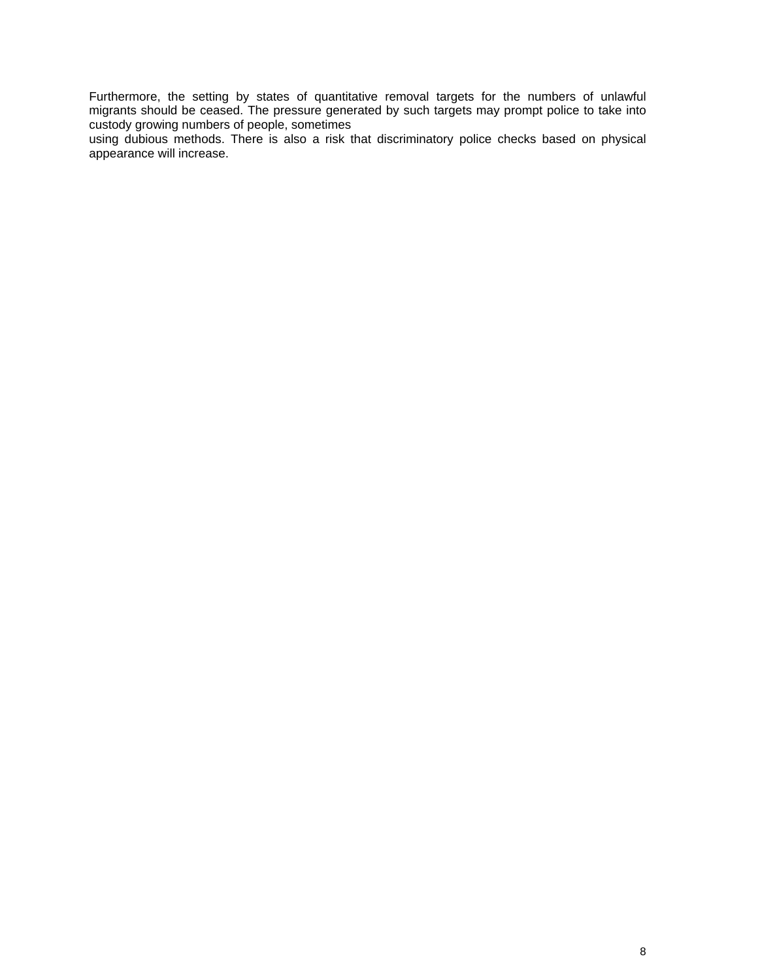Furthermore, the setting by states of quantitative removal targets for the numbers of unlawful migrants should be ceased. The pressure generated by such targets may prompt police to take into custody growing numbers of people, sometimes

using dubious methods. There is also a risk that discriminatory police checks based on physical appearance will increase.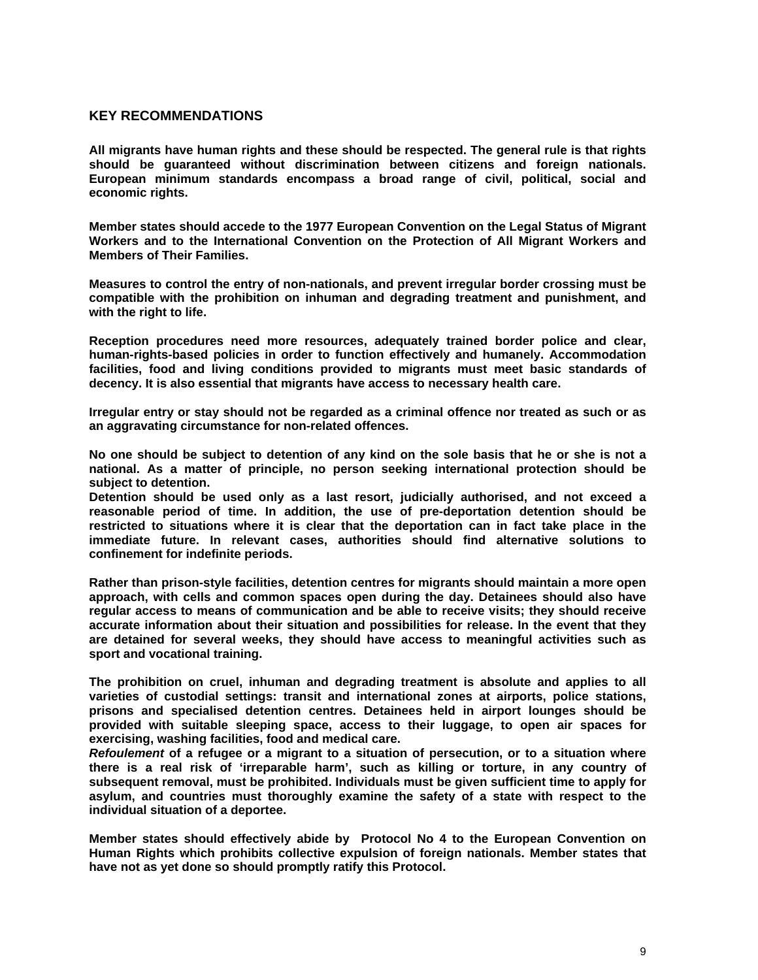## **KEY RECOMMENDATIONS**

**All migrants have human rights and these should be respected. The general rule is that rights should be guaranteed without discrimination between citizens and foreign nationals. European minimum standards encompass a broad range of civil, political, social and economic rights.** 

**Member states should accede to the 1977 European Convention on the Legal Status of Migrant Workers and to the International Convention on the Protection of All Migrant Workers and Members of Their Families.** 

**Measures to control the entry of non-nationals, and prevent irregular border crossing must be compatible with the prohibition on inhuman and degrading treatment and punishment, and with the right to life.**

**Reception procedures need more resources, adequately trained border police and clear, human-rights-based policies in order to function effectively and humanely. Accommodation facilities, food and living conditions provided to migrants must meet basic standards of decency. It is also essential that migrants have access to necessary health care.** 

**Irregular entry or stay should not be regarded as a criminal offence nor treated as such or as an aggravating circumstance for non-related offences.**

**No one should be subject to detention of any kind on the sole basis that he or she is not a national. As a matter of principle, no person seeking international protection should be subject to detention.**

**Detention should be used only as a last resort, judicially authorised, and not exceed a reasonable period of time. In addition, the use of pre-deportation detention should be restricted to situations where it is clear that the deportation can in fact take place in the immediate future. In relevant cases, authorities should find alternative solutions to confinement for indefinite periods.**

**Rather than prison-style facilities, detention centres for migrants should maintain a more open approach, with cells and common spaces open during the day. Detainees should also have regular access to means of communication and be able to receive visits; they should receive accurate information about their situation and possibilities for release. In the event that they are detained for several weeks, they should have access to meaningful activities such as sport and vocational training.** 

**The prohibition on cruel, inhuman and degrading treatment is absolute and applies to all varieties of custodial settings: transit and international zones at airports, police stations, prisons and specialised detention centres. Detainees held in airport lounges should be provided with suitable sleeping space, access to their luggage, to open air spaces for exercising, washing facilities, food and medical care.**

*Refoulement* **of a refugee or a migrant to a situation of persecution, or to a situation where there is a real risk of 'irreparable harm', such as killing or torture, in any country of subsequent removal, must be prohibited. Individuals must be given sufficient time to apply for asylum, and countries must thoroughly examine the safety of a state with respect to the individual situation of a deportee.**

**Member states should effectively abide by Protocol No 4 to the European Convention on Human Rights which prohibits collective expulsion of foreign nationals. Member states that have not as yet done so should promptly ratify this Protocol.**